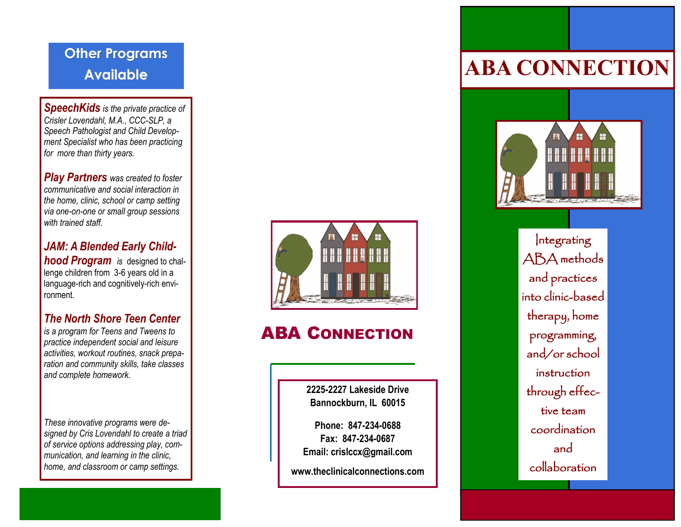## **Other Programs Available**

*SpeechKids is the private practice of Crisler Lovendahl, M.A., CCC-SLP, a Speech Pathologist and Child Development Specialist who has been practicing for more than thirty years.*

*Play Partners was created to foster communicative and social interaction in the home, clinic, school or camp setting via one-on-one or small group sessions with trained staff.*

#### *JAM: A Blended Early Child***hood Program** is designed to challenge children from 3-6 years old in a language-rich and cognitively-rich environment.

## *The North Shore Teen Center*

*is a program for Teens and Tweens to practice independent social and leisure activities, workout routines, snack preparation and community skills, take classes and complete homework.* 

*These innovative programs were designed by Cris Lovendahl to create a triad of service options addressing play, communication, and learning in the clinic, home, and classroom or camp settings.*



## ABA CONNECTION

**2225-2227 Lakeside Drive Bannockburn, IL 60015**

**Phone: 847-234-0688 Fax: 847-234-0687 Email: crislccx@gmail.com**

**www.theclinicalconnections.com**

# **ABA CONNECTION**



Integrating ABA methods and practices into clinic-based therapy, home programming, and/or school instruction through effective team coordination and collaboration